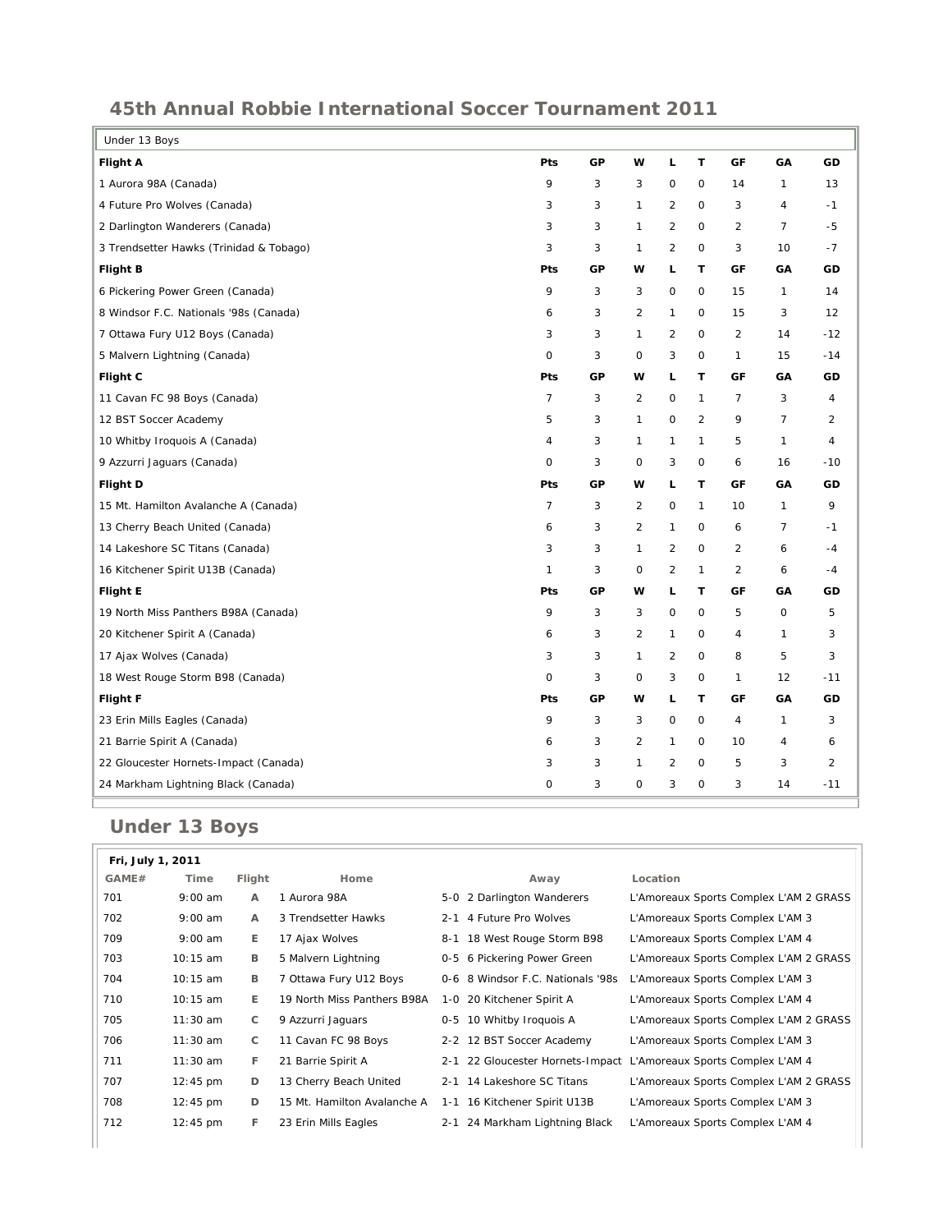## **45th Annual Robbie International Soccer Tournament 2011**

| Under 13 Boys                           |         |    |                |                |              |                |                     |                |
|-----------------------------------------|---------|----|----------------|----------------|--------------|----------------|---------------------|----------------|
| <b>Flight A</b>                         | Pts     | GP | w              | L              | $\mathsf T$  | GF             | GA                  | GD             |
| 1 Aurora 98A (Canada)                   | 9       | 3  | 3              | $\mathsf O$    | $\mathsf O$  | 14             | $\mathbf{1}$        | 13             |
| 4 Future Pro Wolves (Canada)            | 3       | 3  | $\mathbf{1}$   | $\overline{2}$ | $\mathbf 0$  | 3              | $\overline{4}$      | $-1$           |
| 2 Darlington Wanderers (Canada)         | 3       | 3  | $\mathbf{1}$   | 2              | 0            | 2              | $\overline{7}$      | $-5$           |
| 3 Trendsetter Hawks (Trinidad & Tobago) | 3       | 3  | 1              | 2              | 0            | 3              | 10                  | $-7$           |
| <b>Flight B</b>                         | Pts     | GP | w              | L              | T            | GF             | GA                  | GD             |
| 6 Pickering Power Green (Canada)        | 9       | 3  | 3              | $\mathsf O$    | 0            | 15             | $\mathbf{1}$        | 14             |
| 8 Windsor F.C. Nationals '98s (Canada)  | 6       | 3  | $\overline{2}$ | $\mathbf{1}$   | $\mathsf{O}$ | 15             | 3                   | 12             |
| 7 Ottawa Fury U12 Boys (Canada)         | 3       | 3  | $\mathbf{1}$   | 2              | 0            | 2              | 14                  | $-12$          |
| 5 Malvern Lightning (Canada)            | $\circ$ | 3  | $\mathbf 0$    | 3              | 0            | $\mathbf{1}$   | 15                  | $-14$          |
| Flight C                                | Pts     | GP | w              | L              | T            | GF             | GA                  | GD             |
| 11 Cavan FC 98 Boys (Canada)            | 7       | 3  | $\overline{2}$ | $\mathsf O$    | 1            | $\overline{7}$ | 3                   | 4              |
| 12 BST Soccer Academy                   | 5       | 3  | $\mathbf{1}$   | $\mathbf 0$    | 2            | 9              | $\overline{7}$      | 2              |
| 10 Whitby Iroquois A (Canada)           | 4       | 3  | $\mathbf{1}$   | $\mathbf{1}$   | 1            | 5              | $\mathbf{1}$        | $\overline{4}$ |
| 9 Azzurri Jaguars (Canada)              | 0       | 3  | 0              | 3              | $\mathsf O$  | 6              | 16                  | $-10$          |
| <b>Flight D</b>                         | Pts     | GP | w              | г              | T            | GF             | GA                  | GD             |
| 15 Mt. Hamilton Avalanche A (Canada)    | 7       | 3  | $\overline{2}$ | 0              | 1            | 10             | 1                   | 9              |
| 13 Cherry Beach United (Canada)         | 6       | 3  | $\overline{2}$ | $\mathbf{1}$   | $\mathsf O$  | 6              | $\overline{7}$      | $-1$           |
| 14 Lakeshore SC Titans (Canada)         | 3       | 3  | $\mathbf{1}$   | $\overline{2}$ | $\mathbf 0$  | $\overline{2}$ | 6                   | $-4$           |
| 16 Kitchener Spirit U13B (Canada)       | 1       | 3  | $\circ$        | $\overline{2}$ | 1            | $\overline{2}$ | 6                   | $-4$           |
| <b>Flight E</b>                         | Pts     | GP | w              | L              | т            | GF             | GA                  | GD             |
| 19 North Miss Panthers B98A (Canada)    | 9       | 3  | 3              | $\mathsf O$    | $\mathsf{O}$ | 5              | $\mathsf{O}\xspace$ | 5              |
| 20 Kitchener Spirit A (Canada)          | 6       | 3  | $\overline{2}$ | $\mathbf{1}$   | $\mathsf{O}$ | $\overline{4}$ | $\mathbf{1}$        | 3              |
| 17 Ajax Wolves (Canada)                 | 3       | 3  | $\mathbf{1}$   | 2              | O            | 8              | 5                   | 3              |
| 18 West Rouge Storm B98 (Canada)        | $\circ$ | 3  | $\mathbf 0$    | 3              | 0            | $\mathbf{1}$   | 12                  | $-11$          |
| Flight F                                | Pts     | GP | w              | г              | T            | GF             | GA                  | GD             |
| 23 Erin Mills Eagles (Canada)           | 9       | 3  | 3              | $\mathsf{O}$   | 0            | $\overline{4}$ | $\mathbf{1}$        | 3              |
| 21 Barrie Spirit A (Canada)             | 6       | 3  | $\overline{2}$ | $\mathbf{1}$   | $\mathsf{O}$ | 10             | 4                   | 6              |
| 22 Gloucester Hornets-Impact (Canada)   | 3       | 3  | $\mathbf{1}$   | $\overline{2}$ | $\mathbf 0$  | 5              | 3                   | 2              |
| 24 Markham Lightning Black (Canada)     | 0       | 3  | $\circ$        | 3              | 0            | 3              | 14                  | $-11$          |

## **Under 13 Boys**

| GAME# | Time               | Flight | Home                        | Away                              | Location                                                          |
|-------|--------------------|--------|-----------------------------|-----------------------------------|-------------------------------------------------------------------|
| 701   | $9:00$ am          | A      | 1 Aurora 98A                | 5-0 2 Darlington Wanderers        | L'Amoreaux Sports Complex L'AM 2 GRASS                            |
| 702   | $9:00$ am          | A      | 3 Trendsetter Hawks         | 2-1 4 Future Pro Wolves           | L'Amoreaux Sports Complex L'AM 3                                  |
| 709   | $9:00$ am          | E.     | 17 Ajax Wolves              | 8-1 18 West Rouge Storm B98       | L'Amoreaux Sports Complex L'AM 4                                  |
| 703   | $10:15$ am         | B      | 5 Malvern Lightning         | 0-5 6 Pickering Power Green       | L'Amoreaux Sports Complex L'AM 2 GRASS                            |
| 704   | 10:15 am           | в      | 7 Ottawa Fury U12 Boys      | 0-6 8 Windsor F.C. Nationals '98s | L'Amoreaux Sports Complex L'AM 3                                  |
| 710   | 10:15 am           | E.     | 19 North Miss Panthers B98A | 1-0 20 Kitchener Spirit A         | L'Amoreaux Sports Complex L'AM 4                                  |
| 705   | $11:30$ am         | C      | 9 Azzurri Jaguars           | 0-5 10 Whitby Iroquois A          | L'Amoreaux Sports Complex L'AM 2 GRASS                            |
| 706   | $11:30$ am         | C      | 11 Cavan FC 98 Boys         | 2-2 12 BST Soccer Academy         | L'Amoreaux Sports Complex L'AM 3                                  |
| 711   | $11:30$ am         | F.     | 21 Barrie Spirit A          |                                   | 2-1 22 Gloucester Hornets-Impact L'Amoreaux Sports Complex L'AM 4 |
| 707   | $12:45 \text{ pm}$ | D      | 13 Cherry Beach United      | 2-1 14 Lakeshore SC Titans        | L'Amoreaux Sports Complex L'AM 2 GRASS                            |
| 708   | $12:45 \text{ pm}$ | D      | 15 Mt. Hamilton Avalanche A | 1-1 16 Kitchener Spirit U13B      | L'Amoreaux Sports Complex L'AM 3                                  |
| 712   | $12:45 \text{ pm}$ | F.     | 23 Erin Mills Eagles        | 2-1 24 Markham Lightning Black    | L'Amoreaux Sports Complex L'AM 4                                  |